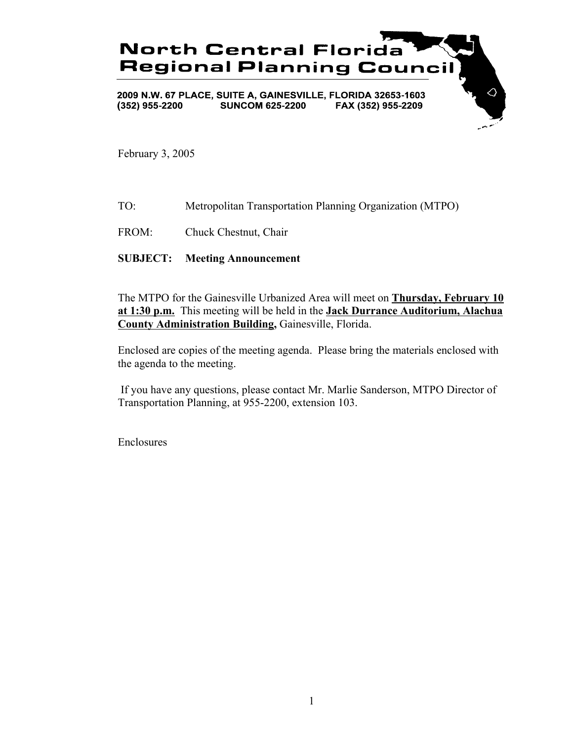

February 3, 2005

- TO: Metropolitan Transportation Planning Organization (MTPO)
- FROM: Chuck Chestnut, Chair

### **SUBJECT: Meeting Announcement**

The MTPO for the Gainesville Urbanized Area will meet on **Thursday, February 10 at 1:30 p.m.** This meeting will be held in the **Jack Durrance Auditorium, Alachua County Administration Building,** Gainesville, Florida.

Enclosed are copies of the meeting agenda. Please bring the materials enclosed with the agenda to the meeting.

 If you have any questions, please contact Mr. Marlie Sanderson, MTPO Director of Transportation Planning, at 955-2200, extension 103.

Enclosures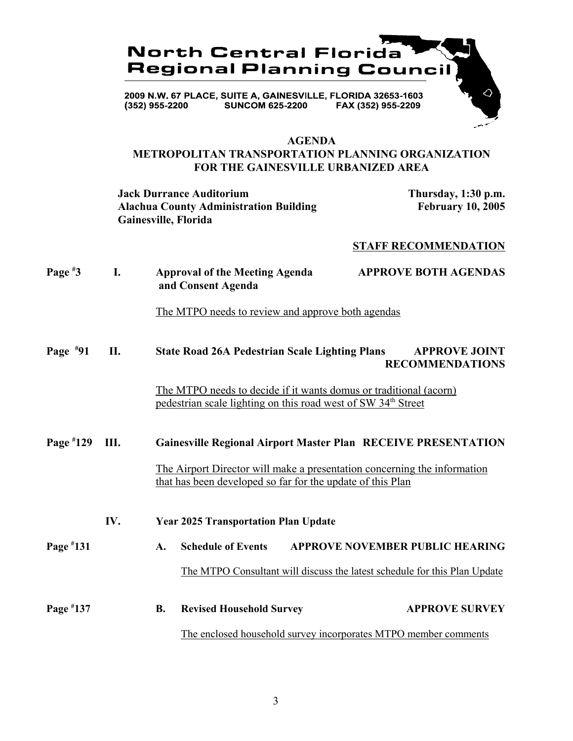

#### **AGENDA**

## **METROPOLITAN TRANSPORTATION PLANNING ORGANIZATION FOR THE GAINESVILLE URBANIZED AREA**

**Jack Durrance Auditorium Thursday, 1:30 p.m.** Alachua County Administration Building February 10, 2005 **Gainesville, Florida**

#### **STAFF RECOMMENDATION**

| Page $*3$   | I.  | <b>APPROVE BOTH AGENDAS</b><br><b>Approval of the Meeting Agenda</b><br>and Consent Agenda                                                     |  |  |  |
|-------------|-----|------------------------------------------------------------------------------------------------------------------------------------------------|--|--|--|
|             |     | The MTPO needs to review and approve both agendas                                                                                              |  |  |  |
| Page $*91$  | П.  | <b>State Road 26A Pedestrian Scale Lighting Plans</b><br><b>APPROVE JOINT</b><br><b>RECOMMENDATIONS</b>                                        |  |  |  |
|             |     | The MTPO needs to decide if it wants domus or traditional (acorn)<br>pedestrian scale lighting on this road west of SW 34 <sup>th</sup> Street |  |  |  |
| Page $*129$ | Ш.  | <b>Gainesville Regional Airport Master Plan RECEIVE PRESENTATION</b>                                                                           |  |  |  |
|             |     | The Airport Director will make a presentation concerning the information<br>that has been developed so far for the update of this Plan         |  |  |  |
|             | IV. | <b>Year 2025 Transportation Plan Update</b>                                                                                                    |  |  |  |
| Page #131   |     | <b>Schedule of Events</b><br><b>APPROVE NOVEMBER PUBLIC HEARING</b><br>$\mathbf{A}$ .                                                          |  |  |  |
|             |     | The MTPO Consultant will discuss the latest schedule for this Plan Update                                                                      |  |  |  |
| Page #137   |     | <b>APPROVE SURVEY</b><br><b>Revised Household Survey</b><br><b>B.</b>                                                                          |  |  |  |
|             |     | The enclosed household survey incorporates MTPO member comments                                                                                |  |  |  |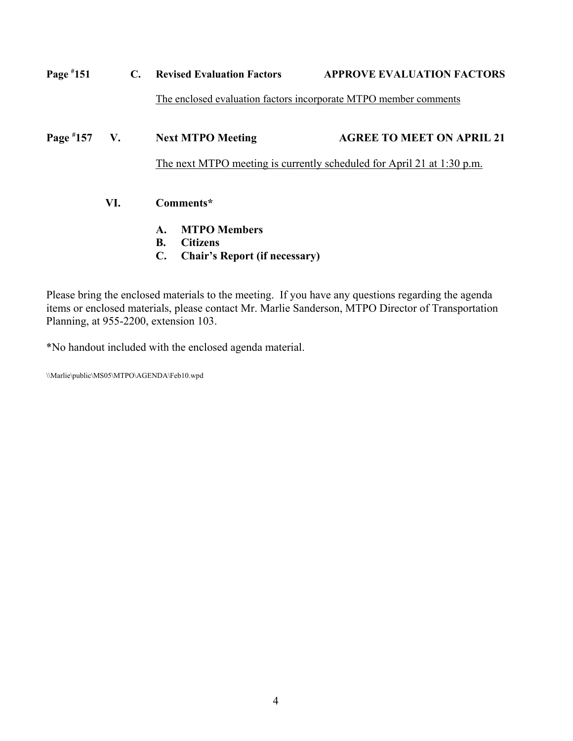| Page $*151$    |     | $\mathbf{C}$ . | <b>Revised Evaluation Factors</b>                                      | <b>APPROVE EVALUATION FACTORS</b> |  |
|----------------|-----|----------------|------------------------------------------------------------------------|-----------------------------------|--|
|                |     |                | The enclosed evaluation factors incorporate MTPO member comments       |                                   |  |
| Page $*157$ V. |     |                | <b>Next MTPO Meeting</b>                                               | <b>AGREE TO MEET ON APRIL 21</b>  |  |
|                |     |                | The next MTPO meeting is currently scheduled for April 21 at 1:30 p.m. |                                   |  |
|                | VI. |                | Comments*                                                              |                                   |  |
|                |     |                | <b>MTPO Members</b><br>A.                                              |                                   |  |
|                |     |                | <b>B.</b><br><b>Citizens</b>                                           |                                   |  |
|                |     |                | C.<br><b>Chair's Report (if necessary)</b>                             |                                   |  |

Please bring the enclosed materials to the meeting. If you have any questions regarding the agenda items or enclosed materials, please contact Mr. Marlie Sanderson, MTPO Director of Transportation Planning, at 955-2200, extension 103.

\*No handout included with the enclosed agenda material.

\\Marlie\public\MS05\MTPO\AGENDA\Feb10.wpd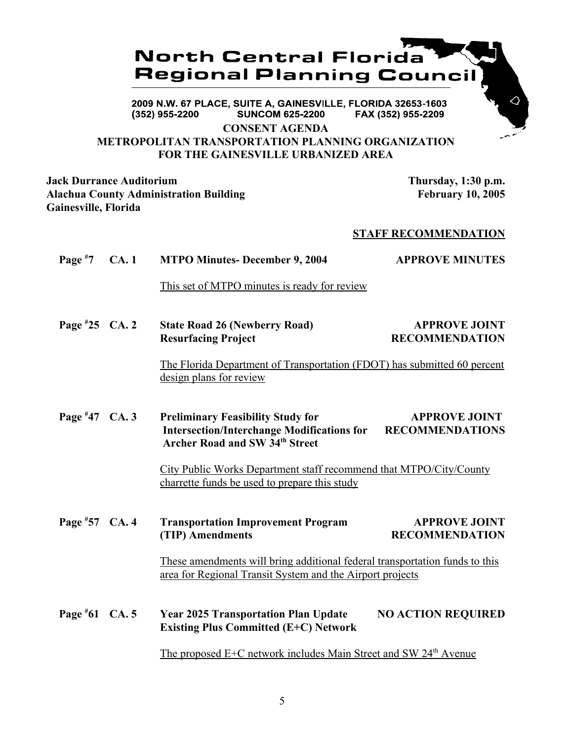# **North Central Florida Regional Planning Council**

2009 N.W. 67 PLACE, SUITE A, GAINESVILLE, FLORIDA 32653-1603 (352) 955-2200 **SUNCOM 625-2200** FAX (352) 955-2209

**CONSENT AGENDA**

# **METROPOLITAN TRANSPORTATION PLANNING ORGANIZATION FOR THE GAINESVILLE URBANIZED AREA**

**Jack Durrance Auditorium Thursday, 1:30 p.m. Alachua County Administration Building February 10, 2005 Gainesville, Florida**

## **STAFF RECOMMENDATION**

**Page # MTPO Minutes- December 9, 2004 APPROVE MINUTES** 

This set of MTPO minutes is ready for review

Page #25 CA. 2 **25 CA. 25 CA. 25 CA. 25 CA. 25 CA. 25 CA. 25 CA. 25 CA. 25 CA. 26 CA. 26 CA. 26 CA. 26 CA. 26 CA. 26 CA. 26 CA. 26 CA. 26 CA. 26 CA. 26 CA. 26 CA. 26 CA. 26 CA. 26 CA. 26 CA. 27 CA. 27 CA. 27 CA. 27 CA. 27 CA. 27 CA. 27 C Resurfacing Project RECOMMENDATION** 

> The Florida Department of Transportation (FDOT) has submitted 60 percent design plans for review

**Page # 47 Preliminary Feasibility Study for APPROVE JOINT Intersection/Interchange Modifications for RECOMMENDATIONS Archer Road and SW 34th Street**

> City Public Works Department staff recommend that MTPO/City/County charrette funds be used to prepare this study

**Page # Fransportation Improvement Program APPROVE JOINT (TIP) Amendments RECOMMENDATION**

> These amendments will bring additional federal transportation funds to this area for Regional Transit System and the Airport projects

Page #61 CA. 5 **Fear 2025 Transportation Plan Update NO ACTION REQUIRED Existing Plus Committed (E+C) Network**

The proposed  $E+C$  network includes Main Street and SW 24<sup>th</sup> Avenue